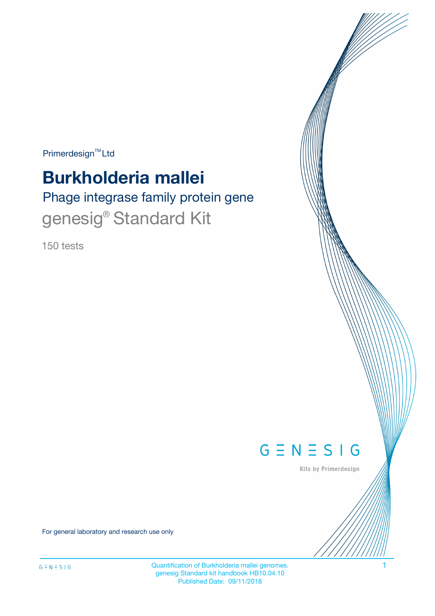$Primerdesign^{\text{TM}}Ltd$ 

# **Burkholderia mallei**

Phage integrase family protein gene genesig<sup>®</sup> Standard Kit

150 tests



Kits by Primerdesign

For general laboratory and research use only

Quantification of Burkholderia mallei genomes. 1 genesig Standard kit handbook HB10.04.10 Published Date: 09/11/2018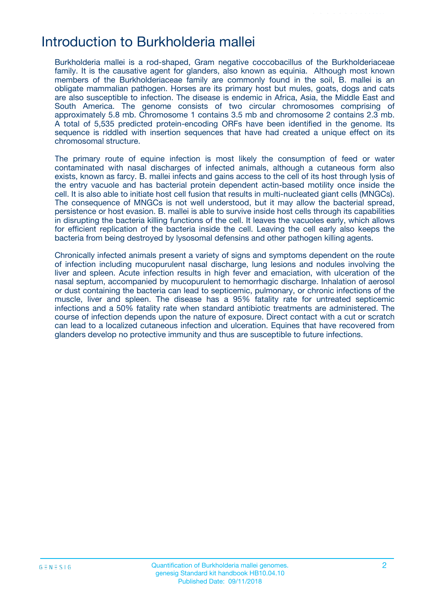### Introduction to Burkholderia mallei

Burkholderia mallei is a rod-shaped, Gram negative coccobacillus of the Burkholderiaceae family. It is the causative agent for glanders, also known as equinia. Although most known members of the Burkholderiaceae family are commonly found in the soil, B. mallei is an obligate mammalian pathogen. Horses are its primary host but mules, goats, dogs and cats are also susceptible to infection. The disease is endemic in Africa, Asia, the Middle East and South America. The genome consists of two circular chromosomes comprising of approximately 5.8 mb. Chromosome 1 contains 3.5 mb and chromosome 2 contains 2.3 mb. A total of 5,535 predicted protein-encoding ORFs have been identified in the genome. Its sequence is riddled with insertion sequences that have had created a unique effect on its chromosomal structure.

The primary route of equine infection is most likely the consumption of feed or water contaminated with nasal discharges of infected animals, although a cutaneous form also exists, known as farcy. B. mallei infects and gains access to the cell of its host through lysis of the entry vacuole and has bacterial protein dependent actin-based motility once inside the cell. It is also able to initiate host cell fusion that results in multi-nucleated giant cells (MNGCs). The consequence of MNGCs is not well understood, but it may allow the bacterial spread, persistence or host evasion. B. mallei is able to survive inside host cells through its capabilities in disrupting the bacteria killing functions of the cell. It leaves the vacuoles early, which allows for efficient replication of the bacteria inside the cell. Leaving the cell early also keeps the bacteria from being destroyed by lysosomal defensins and other pathogen killing agents.

Chronically infected animals present a variety of signs and symptoms dependent on the route of infection including mucopurulent nasal discharge, lung lesions and nodules involving the liver and spleen. Acute infection results in high fever and emaciation, with ulceration of the nasal septum, accompanied by mucopurulent to hemorrhagic discharge. Inhalation of aerosol or dust containing the bacteria can lead to septicemic, pulmonary, or chronic infections of the muscle, liver and spleen. The disease has a 95% fatality rate for untreated septicemic infections and a 50% fatality rate when standard antibiotic treatments are administered. The course of infection depends upon the nature of exposure. Direct contact with a cut or scratch can lead to a localized cutaneous infection and ulceration. Equines that have recovered from glanders develop no protective immunity and thus are susceptible to future infections.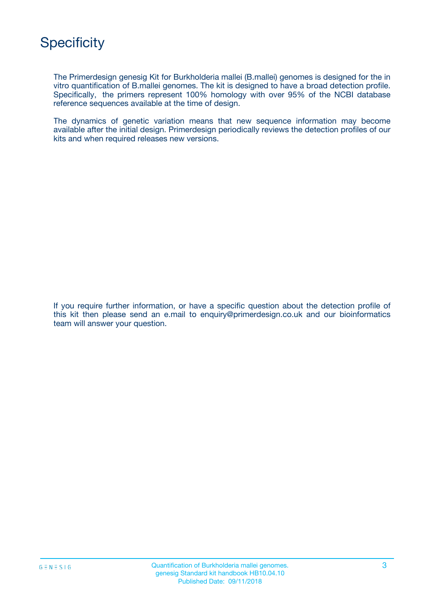The Primerdesign genesig Kit for Burkholderia mallei (B.mallei) genomes is designed for the in vitro quantification of B.mallei genomes. The kit is designed to have a broad detection profile. Specifically, the primers represent 100% homology with over 95% of the NCBI database reference sequences available at the time of design.

The dynamics of genetic variation means that new sequence information may become available after the initial design. Primerdesign periodically reviews the detection profiles of our kits and when required releases new versions.

If you require further information, or have a specific question about the detection profile of this kit then please send an e.mail to enquiry@primerdesign.co.uk and our bioinformatics team will answer your question.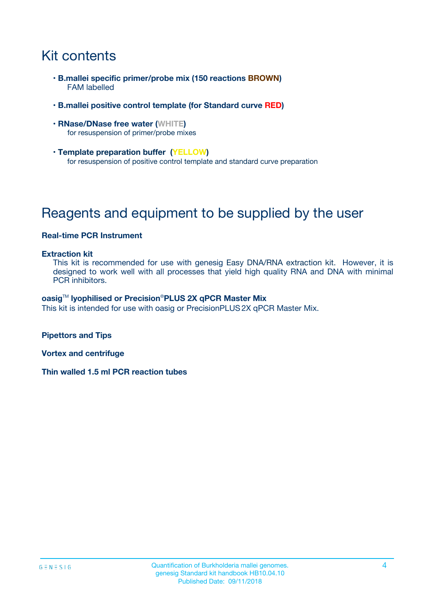## Kit contents

- **B.mallei specific primer/probe mix (150 reactions BROWN)** FAM labelled
- **B.mallei positive control template (for Standard curve RED)**
- **RNase/DNase free water (WHITE)** for resuspension of primer/probe mixes
- **Template preparation buffer (YELLOW)** for resuspension of positive control template and standard curve preparation

## Reagents and equipment to be supplied by the user

#### **Real-time PCR Instrument**

#### **Extraction kit**

This kit is recommended for use with genesig Easy DNA/RNA extraction kit. However, it is designed to work well with all processes that yield high quality RNA and DNA with minimal PCR inhibitors.

#### **oasig**TM **lyophilised or Precision**®**PLUS 2X qPCR Master Mix**

This kit is intended for use with oasig or PrecisionPLUS2X qPCR Master Mix.

**Pipettors and Tips**

**Vortex and centrifuge**

**Thin walled 1.5 ml PCR reaction tubes**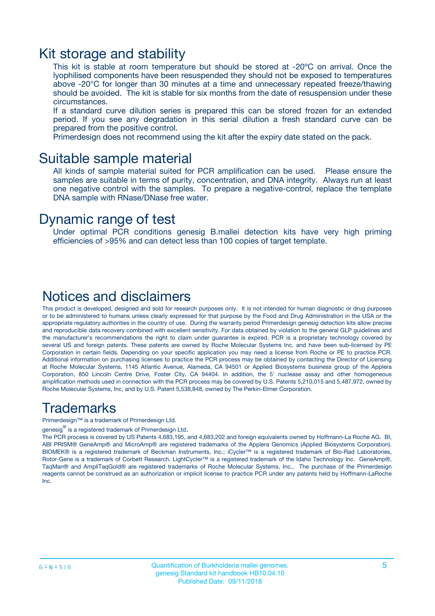### Kit storage and stability

This kit is stable at room temperature but should be stored at -20ºC on arrival. Once the lyophilised components have been resuspended they should not be exposed to temperatures above -20°C for longer than 30 minutes at a time and unnecessary repeated freeze/thawing should be avoided. The kit is stable for six months from the date of resuspension under these circumstances.

If a standard curve dilution series is prepared this can be stored frozen for an extended period. If you see any degradation in this serial dilution a fresh standard curve can be prepared from the positive control.

Primerdesign does not recommend using the kit after the expiry date stated on the pack.

### Suitable sample material

All kinds of sample material suited for PCR amplification can be used. Please ensure the samples are suitable in terms of purity, concentration, and DNA integrity. Always run at least one negative control with the samples. To prepare a negative-control, replace the template DNA sample with RNase/DNase free water.

### Dynamic range of test

Under optimal PCR conditions genesig B.mallei detection kits have very high priming efficiencies of >95% and can detect less than 100 copies of target template.

### Notices and disclaimers

This product is developed, designed and sold for research purposes only. It is not intended for human diagnostic or drug purposes or to be administered to humans unless clearly expressed for that purpose by the Food and Drug Administration in the USA or the appropriate regulatory authorities in the country of use. During the warranty period Primerdesign genesig detection kits allow precise and reproducible data recovery combined with excellent sensitivity. For data obtained by violation to the general GLP guidelines and the manufacturer's recommendations the right to claim under guarantee is expired. PCR is a proprietary technology covered by several US and foreign patents. These patents are owned by Roche Molecular Systems Inc. and have been sub-licensed by PE Corporation in certain fields. Depending on your specific application you may need a license from Roche or PE to practice PCR. Additional information on purchasing licenses to practice the PCR process may be obtained by contacting the Director of Licensing at Roche Molecular Systems, 1145 Atlantic Avenue, Alameda, CA 94501 or Applied Biosystems business group of the Applera Corporation, 850 Lincoln Centre Drive, Foster City, CA 94404. In addition, the 5' nuclease assay and other homogeneous amplification methods used in connection with the PCR process may be covered by U.S. Patents 5,210,015 and 5,487,972, owned by Roche Molecular Systems, Inc, and by U.S. Patent 5,538,848, owned by The Perkin-Elmer Corporation.

### Trademarks

Primerdesign™ is a trademark of Primerdesign Ltd.

genesig $^\circledR$  is a registered trademark of Primerdesign Ltd.

The PCR process is covered by US Patents 4,683,195, and 4,683,202 and foreign equivalents owned by Hoffmann-La Roche AG. BI, ABI PRISM® GeneAmp® and MicroAmp® are registered trademarks of the Applera Genomics (Applied Biosystems Corporation). BIOMEK® is a registered trademark of Beckman Instruments, Inc.; iCycler™ is a registered trademark of Bio-Rad Laboratories, Rotor-Gene is a trademark of Corbett Research. LightCycler™ is a registered trademark of the Idaho Technology Inc. GeneAmp®, TaqMan® and AmpliTaqGold® are registered trademarks of Roche Molecular Systems, Inc., The purchase of the Primerdesign reagents cannot be construed as an authorization or implicit license to practice PCR under any patents held by Hoffmann-LaRoche Inc.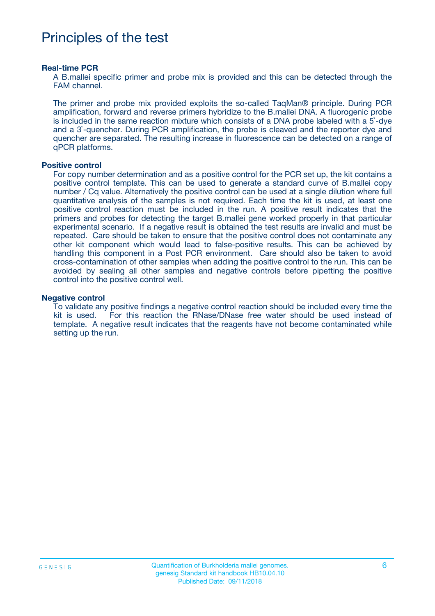## Principles of the test

#### **Real-time PCR**

A B.mallei specific primer and probe mix is provided and this can be detected through the FAM channel.

The primer and probe mix provided exploits the so-called TaqMan® principle. During PCR amplification, forward and reverse primers hybridize to the B.mallei DNA. A fluorogenic probe is included in the same reaction mixture which consists of a DNA probe labeled with a 5`-dye and a 3`-quencher. During PCR amplification, the probe is cleaved and the reporter dye and quencher are separated. The resulting increase in fluorescence can be detected on a range of qPCR platforms.

#### **Positive control**

For copy number determination and as a positive control for the PCR set up, the kit contains a positive control template. This can be used to generate a standard curve of B.mallei copy number / Cq value. Alternatively the positive control can be used at a single dilution where full quantitative analysis of the samples is not required. Each time the kit is used, at least one positive control reaction must be included in the run. A positive result indicates that the primers and probes for detecting the target B.mallei gene worked properly in that particular experimental scenario. If a negative result is obtained the test results are invalid and must be repeated. Care should be taken to ensure that the positive control does not contaminate any other kit component which would lead to false-positive results. This can be achieved by handling this component in a Post PCR environment. Care should also be taken to avoid cross-contamination of other samples when adding the positive control to the run. This can be avoided by sealing all other samples and negative controls before pipetting the positive control into the positive control well.

#### **Negative control**

To validate any positive findings a negative control reaction should be included every time the kit is used. For this reaction the RNase/DNase free water should be used instead of template. A negative result indicates that the reagents have not become contaminated while setting up the run.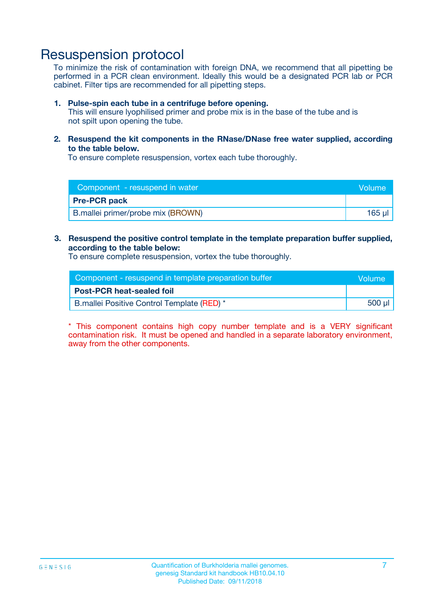## Resuspension protocol

To minimize the risk of contamination with foreign DNA, we recommend that all pipetting be performed in a PCR clean environment. Ideally this would be a designated PCR lab or PCR cabinet. Filter tips are recommended for all pipetting steps.

#### **1. Pulse-spin each tube in a centrifuge before opening.**

This will ensure lyophilised primer and probe mix is in the base of the tube and is not spilt upon opening the tube.

**2. Resuspend the kit components in the RNase/DNase free water supplied, according to the table below.**

To ensure complete resuspension, vortex each tube thoroughly.

| Component - resuspend in water<br>Volume |             |
|------------------------------------------|-------------|
| <b>Pre-PCR pack</b>                      |             |
| B.mallei primer/probe mix (BROWN)        | $165$ $\mu$ |

### **3. Resuspend the positive control template in the template preparation buffer supplied, according to the table below:**

To ensure complete resuspension, vortex the tube thoroughly.

| Component - resuspend in template preparation buffer |        |  |
|------------------------------------------------------|--------|--|
| <b>Post-PCR heat-sealed foil</b>                     |        |  |
| B.mallei Positive Control Template (RED) *           | 500 µl |  |

\* This component contains high copy number template and is a VERY significant contamination risk. It must be opened and handled in a separate laboratory environment, away from the other components.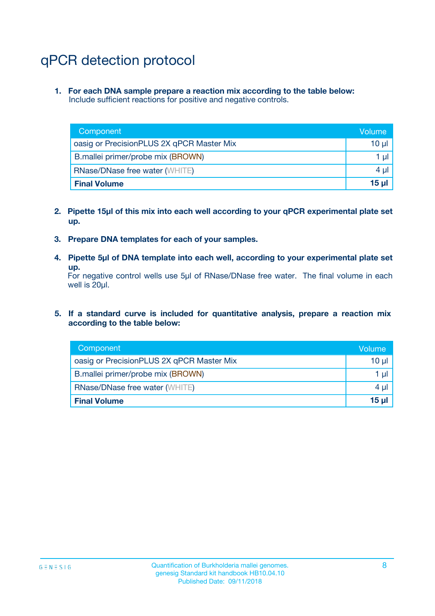## qPCR detection protocol

**1. For each DNA sample prepare a reaction mix according to the table below:** Include sufficient reactions for positive and negative controls.

| Component                                 | Volume   |
|-------------------------------------------|----------|
| oasig or PrecisionPLUS 2X qPCR Master Mix | 10 $\mu$ |
| B.mallei primer/probe mix (BROWN)         | 1 $\mu$  |
| <b>RNase/DNase free water (WHITE)</b>     | $4 \mu$  |
| <b>Final Volume</b>                       | 15 ul    |

- **2. Pipette 15µl of this mix into each well according to your qPCR experimental plate set up.**
- **3. Prepare DNA templates for each of your samples.**
- **4. Pipette 5µl of DNA template into each well, according to your experimental plate set up.**

For negative control wells use 5µl of RNase/DNase free water. The final volume in each well is 20µl.

**5. If a standard curve is included for quantitative analysis, prepare a reaction mix according to the table below:**

| Component                                 | Volume          |
|-------------------------------------------|-----------------|
| oasig or PrecisionPLUS 2X qPCR Master Mix | 10 µl           |
| B.mallei primer/probe mix (BROWN)         | 1 µI            |
| <b>RNase/DNase free water (WHITE)</b>     | $4 \mu$         |
| <b>Final Volume</b>                       | 15 <sub>µ</sub> |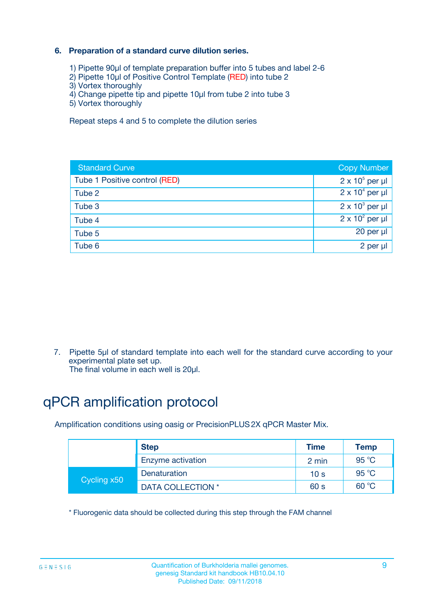### **6. Preparation of a standard curve dilution series.**

- 1) Pipette 90µl of template preparation buffer into 5 tubes and label 2-6
- 2) Pipette 10µl of Positive Control Template (RED) into tube 2
- 3) Vortex thoroughly
- 4) Change pipette tip and pipette 10µl from tube 2 into tube 3
- 5) Vortex thoroughly

Repeat steps 4 and 5 to complete the dilution series

| <b>Standard Curve</b>         | <b>Copy Number</b>     |
|-------------------------------|------------------------|
| Tube 1 Positive control (RED) | $2 \times 10^5$ per µl |
| Tube 2                        | $2 \times 10^4$ per µl |
| Tube 3                        | $2 \times 10^3$ per µl |
| Tube 4                        | $2 \times 10^2$ per µl |
| Tube 5                        | 20 per µl              |
| Tube 6                        | 2 per ul               |

7. Pipette 5µl of standard template into each well for the standard curve according to your experimental plate set up.

The final volume in each well is 20µl.

## qPCR amplification protocol

Amplification conditions using oasig or PrecisionPLUS2X qPCR Master Mix.

|             | <b>Step</b>       | <b>Time</b>     | Temp           |
|-------------|-------------------|-----------------|----------------|
|             | Enzyme activation | 2 min           | $95^{\circ}$ C |
| Cycling x50 | Denaturation      | 10 <sub>s</sub> | 95 $°C$        |
|             | DATA COLLECTION * | 60 s            | 60 °C          |

\* Fluorogenic data should be collected during this step through the FAM channel